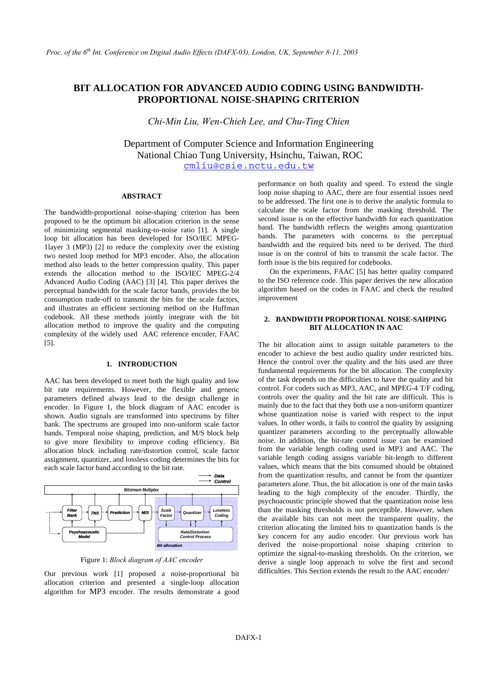# **BIT ALLOCATION FOR ADVANCED AUDIO CODING USING BANDWIDTH-PROPORTIONAL NOISE-SHAPING CRITERION**

*Chi-Min Liu, Wen-Chieh Lee, and Chu-Ting Chien* 

Department of Computer Science and Information Engineering National Chiao Tung University, Hsinchu, Taiwan, ROC cmliu@csie.nctu.edu.tw

## **ABSTRACT**

The bandwidth-proportional noise-shaping criterion has been proposed to be the optimum bit allocation criterion in the sense of minimizing segmental masking-to-noise ratio [1]. A single loop bit allocation has been developed for ISO/IEC MPEG-1layer 3 (MP3) [2] to reduce the complexity over the existing two nested loop method for MP3 encoder. Also, the allocation method also leads to the better compression quality. This paper extends the allocation method to the ISO/IEC MPEG-2/4 Advanced Audio Coding (AAC) [3] [4]. This paper derives the perceptual bandwidth for the scale factor bands, provides the bit consumption trade-off to transmit the bits for the scale factors, and illustrates an efficient sectioning method on the Huffman codebook. All these methods jointly integrate with the bit allocation method to improve the quality and the computing complexity of the widely used AAC reference encoder, FAAC [5].

## **1. INTRODUCTION**

AAC has been developed to meet both the high quality and low bit rate requirements. However, the flexible and generic parameters defined always lead to the design challenge in encoder. In Figure 1, the block diagram of AAC encoder is shown. Audio signals are transformed into spectrums by filter bank. The spectrums are grouped into non-uniform scale factor bands. Temporal noise shaping, prediction, and M/S block help to give more flexibility to improve coding efficiency. Bit allocation block including rate/distortion control, scale factor assignment, quantizer, and lossless coding determines the bits for each scale factor band according to the bit rate.



Figure 1: *Block diagram of AAC encoder*

Our previous work [1] proposed a noise-proportional bit allocation criterion and presented a single-loop allocation algorithm for MP3 encoder. The results demonstrate a good

performance on both quality and speed. To extend the single loop noise shaping to AAC, there are four essential issues need to be addressed. The first one is to derive the analytic formula to calculate the scale factor from the masking threshold. The second issue is on the effective bandwidth for each quantization band. The bandwidth reflects the weights among quantization bands. The parameters with concerns to the perceptual bandwidth and the required bits need to be derived. The third issue is on the control of bits to transmit the scale factor. The forth issue is the bits required for codebooks.

On the experiments, FAAC [5] has better quality compared to the ISO reference code. This paper derives the new allocation algorithm based on the codes in FAAC and check the resulted improvement

# **2. BANDWIDTH PROPORTIONAL NOISE-SAHPING BIT ALLOCATION IN AAC**

The bit allocation aims to assign suitable parameters to the encoder to achieve the best audio quality under restricted bits. Hence the control over the quality and the bits used are three fundamental requirements for the bit allocation. The complexity of the task depends on the difficulties to have the quality and bit control. For coders such as MP3, AAC, and MPEG-4 T/F coding, controls over the quality and the bit rate are difficult. This is mainly due to the fact that they both use a non-uniform quantizer whose quantization noise is varied with respect to the input values. In other words, it fails to control the quality by assigning quantizer parameters according to the perceptually allowable noise. In addition, the bit-rate control issue can be examined from the variable length coding used in MP3 and AAC. The variable length coding assigns variable bit-length to different values, which means that the bits consumed should be obtained from the quantization results, and cannot be from the quantizer parameters alone. Thus, the bit allocation is one of the main tasks leading to the high complexity of the encoder. Thirdly, the psychoacoustic principle showed that the quantization noise less than the masking thresholds is not perceptible. However, when the available bits can not meet the transparent quality, the criterion allocating the limited bits to quantization bands is the key concern for any audio encoder. Our previous work has derived the noise-proportional noise shaping criterion to optimize the signal-to-masking thresholds. On the criterion, we derive a single loop approach to solve the first and second difficulties. This Section extends the result to the AAC encoder/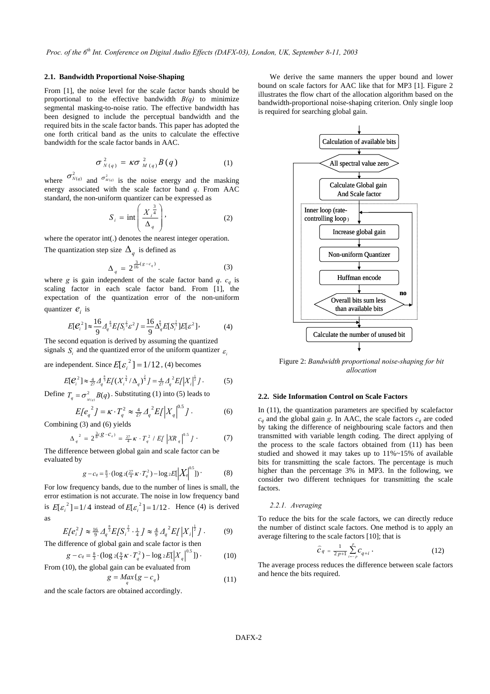# **2.1. Bandwidth Proportional Noise-Shaping**

From [1], the noise level for the scale factor bands should be proportional to the effective bandwidth  $B(q)$  to minimize segmental masking-to-noise ratio. The effective bandwidth has been designed to include the perceptual bandwidth and the required bits in the scale factor bands. This paper has adopted the one forth critical band as the units to calculate the effective bandwidth for the scale factor bands in AAC.

$$
\sigma_{N(q)}^2 = \kappa \sigma_{M(q)}^2 B(q) \qquad (1)
$$

where  $\sigma_{N(q)}^2$  and  $\sigma_{M(q)}^2$  is the noise energy and the masking energy associated with the scale factor band *q*. From AAC standard, the non-uniform quantizer can be expressed as

$$
S_i = \text{int}\left(\frac{X_i^{\frac{3}{4}}}{\Delta_q}\right),\tag{2}
$$

where the operator int(.) denotes the nearest integer operation.

The quantization step size  $\Delta_q$  is defined as

$$
\Delta_q = 2^{\frac{3}{16}(g - c_q)}.
$$
 (3)

where *g* is gain independent of the scale factor band *q*.  $c_q$  is scaling factor in each scale factor band. From [1], the expectation of the quantization error of the non-uniform quantizer  $e_i$  is

$$
E[\mathcal{C}_i^2] \approx \frac{16}{9} \Delta_q^{\frac{8}{3}} E[S_i^{\frac{2}{3}} \varepsilon^2] = \frac{16}{9} \Delta_q^{\frac{8}{3}} E[S_i^{\frac{2}{3}}] E[\varepsilon^2], \tag{4}
$$

The second equation is derived by assuming the quantized signals *S* and the quantized error of the uniform quantizer  $\varepsilon$ .

are independent. Since  $E[\varepsilon_i^2] = 1/12$ , (4) becomes

$$
E[\mathcal{C}_i^2] \approx \frac{4}{27} \Delta_q^{\frac{8}{3}} E[(X_i^{\frac{3}{4}}/\Delta_q)^{\frac{2}{3}}] = \frac{4}{27} \Delta_q^2 E[|X_i|^{\frac{1}{2}}].
$$
 (5)

Define  $T_q = \sigma_{M(q)}^2 B(q)$ . Substituting (1) into (5) leads to

$$
E[e_q^2] = \kappa \cdot T_q^2 \approx \frac{4}{27} A_q^2 E[I|X_q|^{0.5}] \,. \tag{6}
$$

Combining (3) and (6) yields

$$
\Delta_q^2 = 2^{\frac{3}{8}(g - c_q)} = \frac{27}{4} \kappa \cdot T_q^2 / E_f \left| X R_q \right|^{0.5} J \tag{7}
$$

The difference between global gain and scale factor can be evaluated by

$$
g - c_q = \frac{8}{3} \cdot (\log_2(\frac{27}{4} \kappa \cdot T_q^2) - \log_2(E|X_q|^{0.5})) \tag{8}
$$

For low frequency bands, due to the number of lines is small, the error estimation is not accurate. The noise in low frequency band is  $E[\varepsilon_i^2] = 1/4$  instead of  $E[\varepsilon_i^2] = 1/12$ . Hence (4) is derived as

$$
E[e_i^2] \approx \frac{16}{9} A_q^{\frac{8}{3}} E[S_i^{\frac{2}{3}} \cdot \frac{1}{4} J \approx \frac{4}{9} A_q^2 E[I|X_i|^{\frac{1}{2}}].
$$
 (9)

The difference of global gain and scale factor is then

$$
g - c_q = \frac{8}{3} \cdot (\log_2(\frac{9}{4}K \cdot T_q^2) - \log_2(E[X_q]^{0.5}])
$$
 (10)  
From (10), the global gain can be evaluated from

$$
g = \underset{q}{\underset{q}{\text{Max}}}\{g - c_q\} \tag{11}
$$

and the scale factors are obtained accordingly.

We derive the same manners the upper bound and lower bound on scale factors for AAC like that for MP3 [1]. Figure 2 illustrates the flow chart of the allocation algorithm based on the bandwidth-proportional noise-shaping criterion. Only single loop is required for searching global gain.



Figure 2: *Bandwidth proportional noise-shaping for bit allocation*

## **2.2. Side Information Control on Scale Factors**

In (11), the quantization parameters are specified by scalefactor  $c_q$  and the global gain *g*. In AAC, the scale factors  $c_q$  are coded by taking the difference of neighbouring scale factors and then transmitted with variable length coding. The direct applying of the process to the scale factors obtained from (11) has been studied and showed it may takes up to 11%~15% of available bits for transmitting the scale factors. The percentage is much higher than the percentage 3% in MP3. In the following, we consider two different techniques for transmitting the scale factors.

#### *2.2.1. Averaging*

To reduce the bits for the scale factors, we can directly reduce the number of distinct scale factors. One method is to apply an average filtering to the scale factors [10]; that is

$$
\widehat{c}_q = \frac{1}{2p+1} \sum_{i=-p}^{p} c_{q+i} \,. \tag{12}
$$

The average process reduces the difference between scale factors and hence the bits required.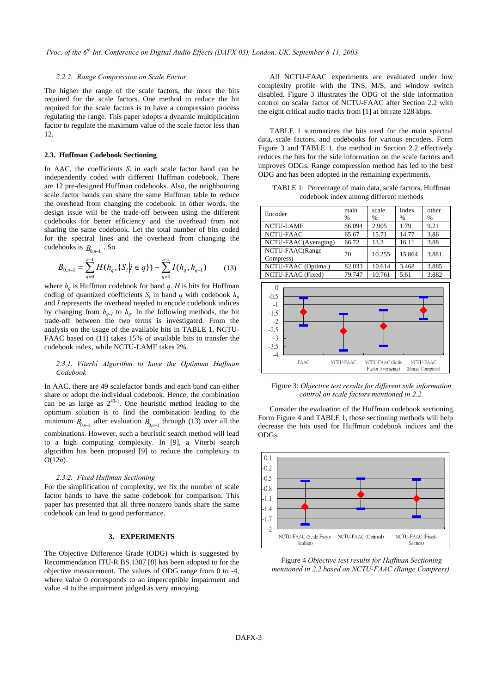## *2.2.2. Range Compression on Scale Factor*

The higher the range of the scale factors, the more the bits required for the scale factors. One method to reduce the bit required for the scale factors is to have a compression process regulating the range. This paper adopts a dynamic multiplication factor to regulate the maximum value of the scale factor less than 12.

#### **2.3. Huffman Codebook Sectioning**

In AAC, the coefficients  $S_i$  in each scale factor band can be independently coded with different Huffman codebook. There are 12 pre-designed Huffman codebooks. Also, the neighbouring scale factor bands can share the same Huffman table to reduce the overhead from changing the codebook. In other words, the design issue will be the trade-off between using the different codebooks for better efficiency and the overhead from not sharing the same codebook. Let the total number of bits coded for the spectral lines and the overhead from changing the codebooks is  $B_{0,n-1}$ . So

$$
B_{0,n-1} = \sum_{q=0}^{n-1} H(h_q, \{S_i | i \in q\}) + \sum_{q=0}^{n-1} I(h_q, h_{q-1})
$$
 (13)

where  $h_q$  is Huffman codebook for band  $q$ . *H* is bits for Huffman coding of quantized coefficients  $S_i$  in band *q* with codebook  $h_a$ and *I* represents the overhead needed to encode codebook indices by changing from  $h_{q-1}$  to  $h_q$ . In the following methods, the bit trade-off between the two terms is investigated. From the analysis on the usage of the available bits in TABLE 1, NCTU-FAAC based on (11) takes 15% of available bits to transfer the codebook index, while NCTU-LAME takes 2%.

## *2.3.1. Viterbi Algorithm to have the Optimum Huffman Codebook*

In AAC, there are 49 scalefactor bands and each band can either share or adopt the individual codebook. Hence, the combination can be as large as  $2^{49-1}$ . One heuristic method leading to the optimum solution is to find the combination leading to the minimum  $B_{0n-1}$  after evaluation  $B_{0n-1}$  through (13) over all the combinations. However, such a heuristic search method will lead to a high computing complexity. In [9], a Viterbi search algorithm has been proposed [9] to reduce the complexity to O(12*n*).

## *2.3.2. Fixed Huffman Sectioning*

For the simplification of complexity, we fix the number of scale factor bands to have the same codebook for comparison. This paper has presented that all three nonzero bands share the same codebook can lead to good performance.

## **3. EXPERIMENTS**

The Objective Difference Grade (ODG) which is suggested by Recommendation ITU-R BS.1387 [8] has been adopted to for the objective measurement. The values of ODG range from 0 to -4, where value 0 corresponds to an imperceptible impairment and value -4 to the impairment judged as very annoying.

All NCTU-FAAC experiments are evaluated under low complexity profile with the TNS, M/S, and window switch disabled. Figure 3 illustrates the ODG of the side information control on scalar factor of NCTU-FAAC after Section 2.2 with the eight critical audio tracks from [1] at bit rate 128 kbps.

TABLE 1 summarizes the bits used for the main spectral data, scale factors, and codebooks for various encoders. Form Figure 3 and TABLE 1, the method in Section 2.2 effectively reduces the bits for the side information on the scale factors and improves ODGs. Range compression method has led to the best ODG and has been adopted in the remaining experiments.

TABLE 1: Percentage of main data, scale factors, Huffman codebook index among different methods



Figure 3: *Objective test results for different side information control on scale factors mentioned in 2.2.*

Consider the evaluation of the Huffman codebook sectioning. Form Figure 4 and TABLE 1, those sectioning methods will help decrease the bits used for Huffman codebook indices and the ODGs.



Figure 4 *Objective test results for Huffman Sectioning mentioned in 2.2 based on NCTU-FAAC (Range Compress).*